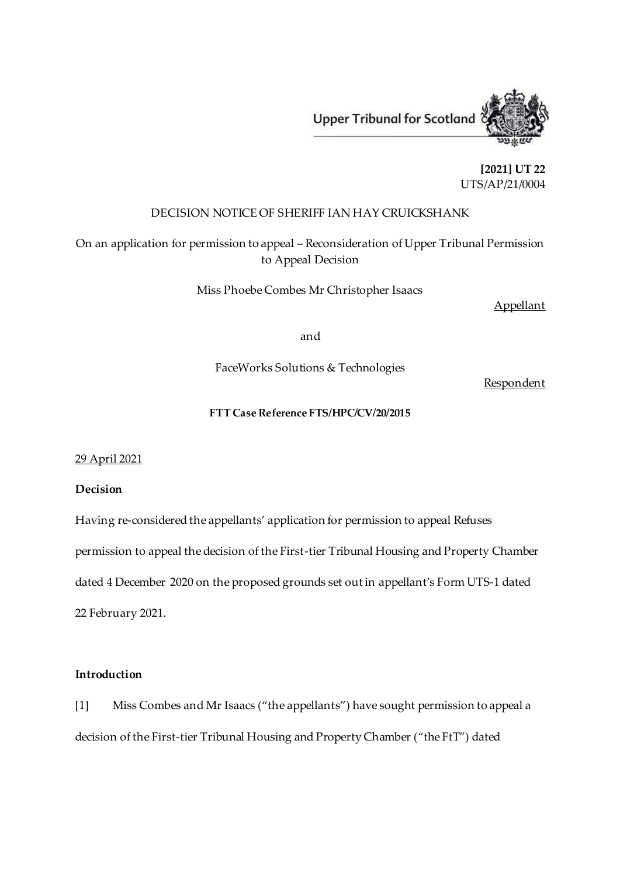

**[2021] UT 22** UTS/AP/21/0004

# DECISION NOTICE OF SHERIFF IAN HAY CRUICKSHANK

On an application for permission to appeal – Reconsideration of Upper Tribunal Permission to Appeal Decision

Miss Phoebe Combes Mr Christopher Isaacs

Appellant

and

FaceWorks Solutions & Technologies

Respondent

## **FTT Case Reference FTS/HPC/CV/20/2015**

29 April 2021

# **Decision**

Having re-considered the appellants' application for permission to appeal Refuses permission to appeal the decision of the First-tier Tribunal Housing and Property Chamber dated 4 December 2020 on the proposed grounds set out in appellant's Form UTS-1 dated 22 February 2021.

#### **Introduction**

[1] Miss Combes and Mr Isaacs ("the appellants") have sought permission to appeal a decision of the First-tier Tribunal Housing and Property Chamber ("the FtT") dated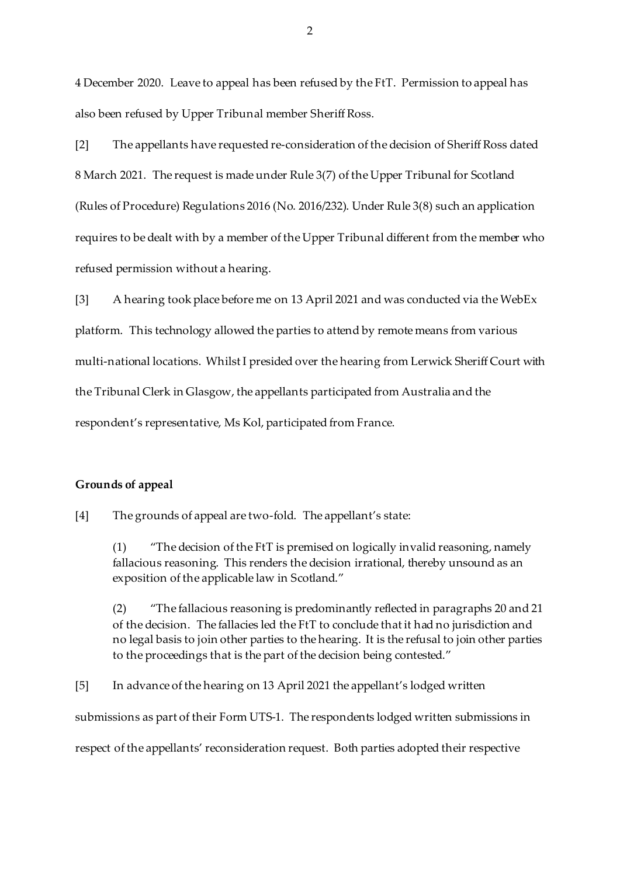4 December 2020. Leave to appeal has been refused by the FtT. Permission to appeal has also been refused by Upper Tribunal member Sheriff Ross.

[2] The appellants have requested re-consideration of the decision of Sheriff Ross dated 8 March 2021. The request is made under Rule 3(7) of the Upper Tribunal for Scotland (Rules of Procedure) Regulations 2016 (No. 2016/232). Under Rule 3(8) such an application requires to be dealt with by a member of the Upper Tribunal different from the member who refused permission without a hearing.

[3] A hearing took place before me on 13 April 2021 and was conducted via the WebEx platform. This technology allowed the parties to attend by remote means from various multi-national locations. Whilst I presided over the hearing from Lerwick Sheriff Court with the Tribunal Clerk in Glasgow, the appellants participated from Australia and the respondent's representative, Ms Kol, participated from France.

### **Grounds of appeal**

[4] The grounds of appeal are two-fold. The appellant's state:

(1) "The decision of the FtT is premised on logically invalid reasoning, namely fallacious reasoning. This renders the decision irrational, thereby unsound as an exposition of the applicable law in Scotland."

(2) "The fallacious reasoning is predominantly reflected in paragraphs 20 and 21 of the decision. The fallacies led the FtT to conclude that it had no jurisdiction and no legal basis to join other parties to the hearing. It is the refusal to join other parties to the proceedings that is the part of the decision being contested."

[5] In advance of the hearing on 13 April 2021 the appellant's lodged written submissions as part of their Form UTS-1. The respondents lodged written submissions in respect of the appellants' reconsideration request. Both parties adopted their respective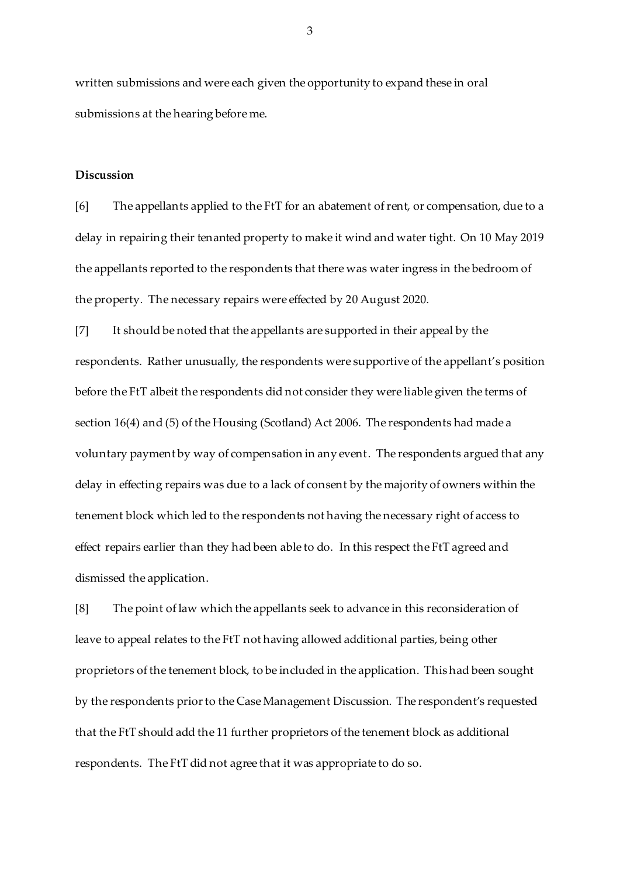written submissions and were each given the opportunity to expand these in oral submissions at the hearing before me.

#### **Discussion**

[6] The appellants applied to the FtT for an abatement of rent, or compensation, due to a delay in repairing their tenanted property to make it wind and water tight. On 10 May 2019 the appellants reported to the respondents that there was water ingress in the bedroom of the property. The necessary repairs were effected by 20 August 2020.

[7] It should be noted that the appellants are supported in their appeal by the respondents. Rather unusually, the respondents were supportive of the appellant's position before the FtT albeit the respondents did not consider they were liable given the terms of section 16(4) and (5) of the Housing (Scotland) Act 2006. The respondents had made a voluntary payment by way of compensation in any event. The respondents argued that any delay in effecting repairs was due to a lack of consent by the majority of owners within the tenement block which led to the respondents not having the necessary right of access to effect repairs earlier than they had been able to do. In this respect the FtT agreed and dismissed the application.

[8] The point of law which the appellants seek to advance in this reconsideration of leave to appeal relates to the FtT not having allowed additional parties, being other proprietors of the tenement block, to be included in the application. This had been sought by the respondents prior to the Case Management Discussion. The respondent's requested that the FtT should add the 11 further proprietors of the tenement block as additional respondents. The FtT did not agree that it was appropriate to do so.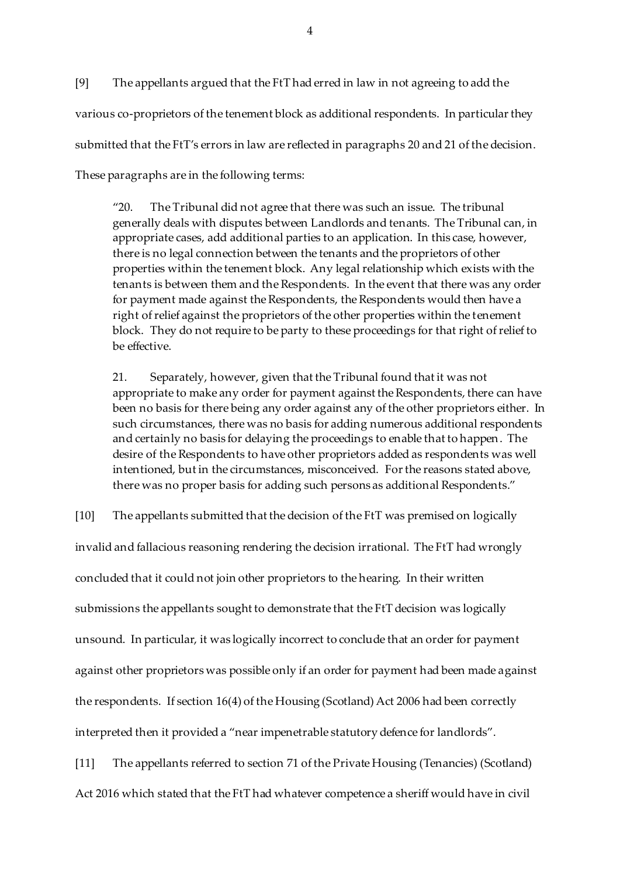[9] The appellants argued that the FtT had erred in law in not agreeing to add the various co-proprietors of the tenement block as additional respondents. In particular they submitted that the FtT's errors in law are reflected in paragraphs 20 and 21 of the decision. These paragraphs are in the following terms:

"20. The Tribunal did not agree that there was such an issue. The tribunal generally deals with disputes between Landlords and tenants. The Tribunal can, in appropriate cases, add additional parties to an application. In this case, however, there is no legal connection between the tenants and the proprietors of other properties within the tenement block. Any legal relationship which exists with the tenants is between them and the Respondents. In the event that there was any order for payment made against the Respondents, the Respondents would then have a right of relief against the proprietors of the other properties within the tenement block. They do not require to be party to these proceedings for that right of relief to be effective.

21. Separately, however, given that the Tribunal found that it was not appropriate to make any order for payment against the Respondents, there can have been no basis for there being any order against any of the other proprietors either. In such circumstances, there was no basis for adding numerous additional respondents and certainly no basis for delaying the proceedings to enable that to happen. The desire of the Respondents to have other proprietors added as respondents was well intentioned, but in the circumstances, misconceived. For the reasons stated above, there was no proper basis for adding such persons as additional Respondents."

[10] The appellants submitted that the decision of the FtT was premised on logically invalid and fallacious reasoning rendering the decision irrational. The FtT had wrongly concluded that it could not join other proprietors to the hearing. In their written submissions the appellants sought to demonstrate that the FtT decision was logically unsound. In particular, it was logically incorrect to conclude that an order for payment against other proprietors was possible only if an order for payment had been made against the respondents. If section 16(4) of the Housing (Scotland) Act 2006 had been correctly interpreted then it provided a "near impenetrable statutory defence for landlords".

[11] The appellants referred to section 71 of the Private Housing (Tenancies) (Scotland) Act 2016 which stated that the FtT had whatever competence a sheriff would have in civil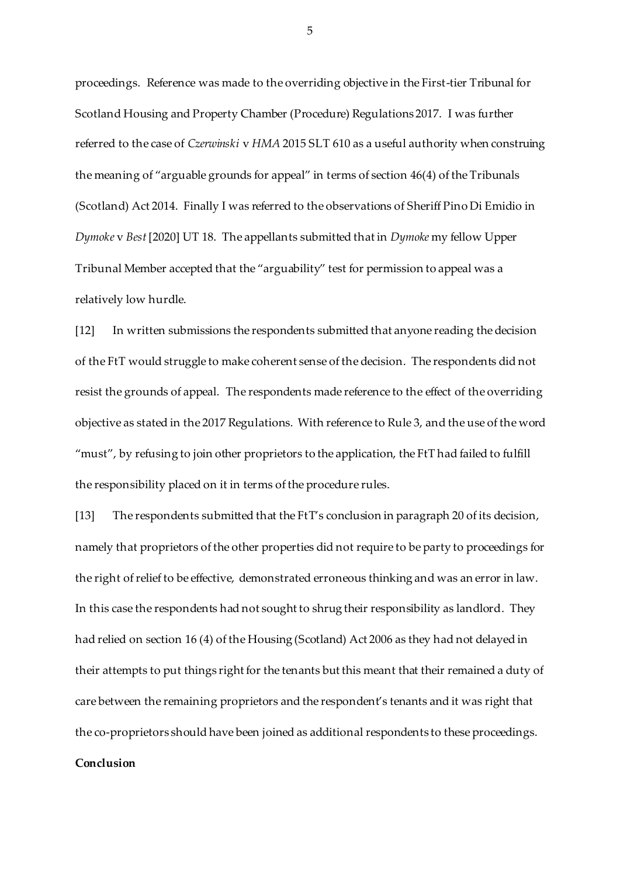proceedings. Reference was made to the overriding objective in the First-tier Tribunal for Scotland Housing and Property Chamber (Procedure) Regulations 2017. I was further referred to the case of *Czerwinski* v *HMA* 2015 SLT 610 as a useful authority when construing the meaning of "arguable grounds for appeal" in terms of section 46(4) of the Tribunals (Scotland) Act 2014. Finally I was referred to the observations of Sheriff Pino Di Emidio in *Dymoke* v *Best* [2020] UT 18. The appellants submitted that in *Dymoke* my fellow Upper Tribunal Member accepted that the "arguability" test for permission to appeal was a relatively low hurdle.

[12] In written submissions the respondents submitted that anyone reading the decision of the FtT would struggle to make coherent sense of the decision. The respondents did not resist the grounds of appeal. The respondents made reference to the effect of the overriding objective as stated in the 2017 Regulations. With reference to Rule 3, and the use of the word "must", by refusing to join other proprietors to the application, the FtT had failed to fulfill the responsibility placed on it in terms of the procedure rules.

[13] The respondents submitted that the FtT's conclusion in paragraph 20 of its decision, namely that proprietors of the other properties did not require to be party to proceedings for the right of relief to be effective, demonstrated erroneous thinking and was an error in law. In this case the respondents had not sought to shrug their responsibility as landlord. They had relied on section 16 (4) of the Housing (Scotland) Act 2006 as they had not delayed in their attempts to put things right for the tenants but this meant that their remained a duty of care between the remaining proprietors and the respondent's tenants and it was right that the co-proprietors should have been joined as additional respondents to these proceedings. **Conclusion**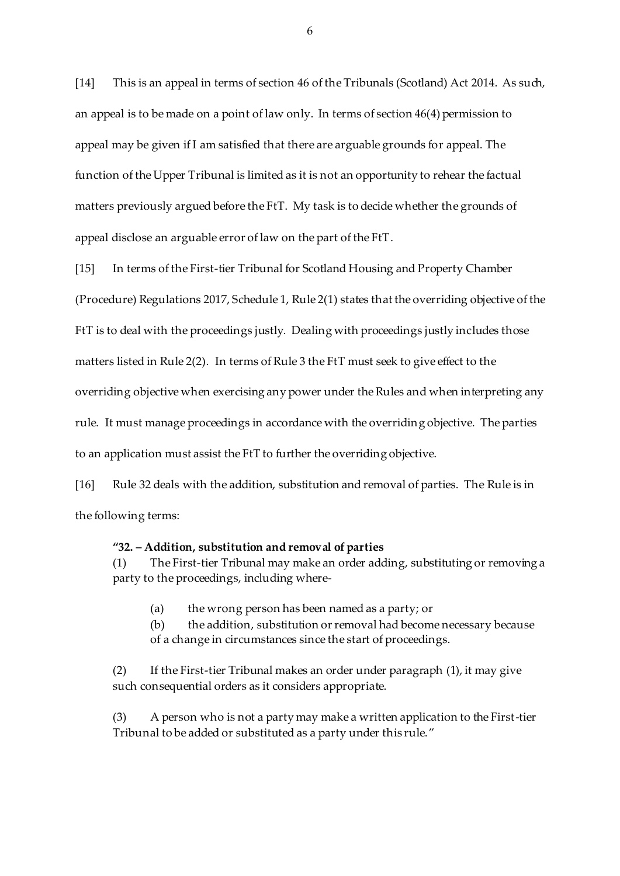[14] This is an appeal in terms of section 46 of the Tribunals (Scotland) Act 2014. As such, an appeal is to be made on a point of law only. In terms of section 46(4) permission to appeal may be given if I am satisfied that there are arguable grounds for appeal. The function of the Upper Tribunal is limited as it is not an opportunity to rehear the factual matters previously argued before the FtT. My task is to decide whether the grounds of appeal disclose an arguable error of law on the part of the FtT.

[15] In terms of the First-tier Tribunal for Scotland Housing and Property Chamber (Procedure) Regulations 2017, Schedule 1, Rule 2(1) states that the overriding objective of the FtT is to deal with the proceedings justly. Dealing with proceedings justly includes those matters listed in Rule 2(2). In terms of Rule 3 the FtT must seek to give effect to the overriding objective when exercising any power under the Rules and when interpreting any rule. It must manage proceedings in accordance with the overriding objective. The parties to an application must assist the FtT to further the overriding objective.

[16] Rule 32 deals with the addition, substitution and removal of parties. The Rule is in the following terms:

### **"32. – Addition, substitution and removal of parties**

(1) The First-tier Tribunal may make an order adding, substituting or removing a party to the proceedings, including where-

(a) the wrong person has been named as a party; or

(b) the addition, substitution or removal had become necessary because of a change in circumstances since the start of proceedings.

(2) If the First-tier Tribunal makes an order under paragraph (1), it may give such consequential orders as it considers appropriate.

(3) A person who is not a party may make a written application to the First-tier Tribunal to be added or substituted as a party under this rule."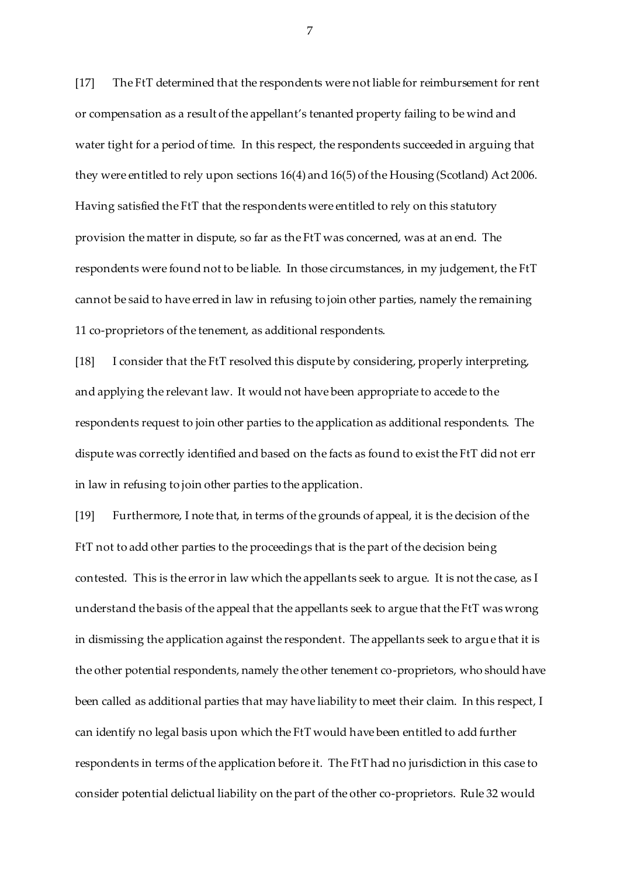[17] The FtT determined that the respondents were not liable for reimbursement for rent or compensation as a result of the appellant's tenanted property failing to be wind and water tight for a period of time. In this respect, the respondents succeeded in arguing that they were entitled to rely upon sections 16(4) and 16(5) of the Housing (Scotland) Act 2006. Having satisfied the FtT that the respondents were entitled to rely on this statutory provision the matter in dispute, so far as the FtT was concerned, was at an end. The respondents were found not to be liable. In those circumstances, in my judgement, the FtT cannot be said to have erred in law in refusing to join other parties, namely the remaining 11 co-proprietors of the tenement, as additional respondents.

[18] I consider that the FtT resolved this dispute by considering, properly interpreting, and applying the relevant law. It would not have been appropriate to accede to the respondents request to join other parties to the application as additional respondents. The dispute was correctly identified and based on the facts as found to exist the FtT did not err in law in refusing to join other parties to the application.

[19] Furthermore, I note that, in terms of the grounds of appeal, it is the decision of the FtT not to add other parties to the proceedings that is the part of the decision being contested. This is the error in law which the appellants seek to argue. It is not the case, as I understand the basis of the appeal that the appellants seek to argue that the FtT was wrong in dismissing the application against the respondent. The appellants seek to argue that it is the other potential respondents, namely the other tenement co-proprietors, who should have been called as additional parties that may have liability to meet their claim. In this respect, I can identify no legal basis upon which the FtT would have been entitled to add further respondents in terms of the application before it. The FtT had no jurisdiction in this case to consider potential delictual liability on the part of the other co-proprietors. Rule 32 would